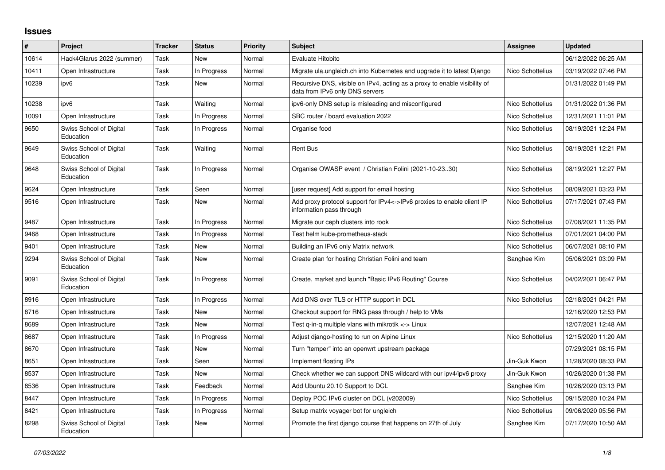## **Issues**

| $\vert$ # | Project                              | <b>Tracker</b> | <b>Status</b> | <b>Priority</b> | <b>Subject</b>                                                                                               | Assignee         | <b>Updated</b>      |
|-----------|--------------------------------------|----------------|---------------|-----------------|--------------------------------------------------------------------------------------------------------------|------------------|---------------------|
| 10614     | Hack4Glarus 2022 (summer)            | Task           | New           | Normal          | Evaluate Hitobito                                                                                            |                  | 06/12/2022 06:25 AM |
| 10411     | Open Infrastructure                  | Task           | In Progress   | Normal          | Migrate ula.ungleich.ch into Kubernetes and upgrade it to latest Diango                                      | Nico Schottelius | 03/19/2022 07:46 PM |
| 10239     | ipv6                                 | Task           | New           | Normal          | Recursive DNS, visible on IPv4, acting as a proxy to enable visibility of<br>data from IPv6 only DNS servers |                  | 01/31/2022 01:49 PM |
| 10238     | ipv6                                 | Task           | Waiting       | Normal          | ipv6-only DNS setup is misleading and misconfigured                                                          | Nico Schottelius | 01/31/2022 01:36 PM |
| 10091     | Open Infrastructure                  | Task           | In Progress   | Normal          | SBC router / board evaluation 2022                                                                           | Nico Schottelius | 12/31/2021 11:01 PM |
| 9650      | Swiss School of Digital<br>Education | Task           | In Progress   | Normal          | Organise food                                                                                                | Nico Schottelius | 08/19/2021 12:24 PM |
| 9649      | Swiss School of Digital<br>Education | Task           | Waiting       | Normal          | <b>Rent Bus</b>                                                                                              | Nico Schottelius | 08/19/2021 12:21 PM |
| 9648      | Swiss School of Digital<br>Education | Task           | In Progress   | Normal          | Organise OWASP event / Christian Folini (2021-10-2330)                                                       | Nico Schottelius | 08/19/2021 12:27 PM |
| 9624      | Open Infrastructure                  | Task           | Seen          | Normal          | [user request] Add support for email hosting                                                                 | Nico Schottelius | 08/09/2021 03:23 PM |
| 9516      | Open Infrastructure                  | Task           | New           | Normal          | Add proxy protocol support for IPv4<->IPv6 proxies to enable client IP<br>information pass through           | Nico Schottelius | 07/17/2021 07:43 PM |
| 9487      | Open Infrastructure                  | Task           | In Progress   | Normal          | Migrate our ceph clusters into rook                                                                          | Nico Schottelius | 07/08/2021 11:35 PM |
| 9468      | Open Infrastructure                  | Task           | In Progress   | Normal          | Test helm kube-prometheus-stack                                                                              | Nico Schottelius | 07/01/2021 04:00 PM |
| 9401      | Open Infrastructure                  | Task           | New           | Normal          | Building an IPv6 only Matrix network                                                                         | Nico Schottelius | 06/07/2021 08:10 PM |
| 9294      | Swiss School of Digital<br>Education | Task           | New           | Normal          | Create plan for hosting Christian Folini and team                                                            | Sanghee Kim      | 05/06/2021 03:09 PM |
| 9091      | Swiss School of Digital<br>Education | Task           | In Progress   | Normal          | Create, market and launch "Basic IPv6 Routing" Course                                                        | Nico Schottelius | 04/02/2021 06:47 PM |
| 8916      | Open Infrastructure                  | Task           | In Progress   | Normal          | Add DNS over TLS or HTTP support in DCL                                                                      | Nico Schottelius | 02/18/2021 04:21 PM |
| 8716      | Open Infrastructure                  | Task           | New           | Normal          | Checkout support for RNG pass through / help to VMs                                                          |                  | 12/16/2020 12:53 PM |
| 8689      | Open Infrastructure                  | Task           | New           | Normal          | Test q-in-q multiple vlans with mikrotik <-> Linux                                                           |                  | 12/07/2021 12:48 AM |
| 8687      | Open Infrastructure                  | Task           | In Progress   | Normal          | Adjust django-hosting to run on Alpine Linux                                                                 | Nico Schottelius | 12/15/2020 11:20 AM |
| 8670      | Open Infrastructure                  | Task           | <b>New</b>    | Normal          | Turn "temper" into an openwrt upstream package                                                               |                  | 07/29/2021 08:15 PM |
| 8651      | Open Infrastructure                  | Task           | Seen          | Normal          | Implement floating IPs                                                                                       | Jin-Guk Kwon     | 11/28/2020 08:33 PM |
| 8537      | Open Infrastructure                  | Task           | New           | Normal          | Check whether we can support DNS wildcard with our ipv4/ipv6 proxy                                           | Jin-Guk Kwon     | 10/26/2020 01:38 PM |
| 8536      | Open Infrastructure                  | Task           | Feedback      | Normal          | Add Ubuntu 20.10 Support to DCL                                                                              | Sanghee Kim      | 10/26/2020 03:13 PM |
| 8447      | Open Infrastructure                  | Task           | In Progress   | Normal          | Deploy POC IPv6 cluster on DCL (v202009)                                                                     | Nico Schottelius | 09/15/2020 10:24 PM |
| 8421      | Open Infrastructure                  | Task           | In Progress   | Normal          | Setup matrix voyager bot for ungleich                                                                        | Nico Schottelius | 09/06/2020 05:56 PM |
| 8298      | Swiss School of Digital<br>Education | Task           | <b>New</b>    | Normal          | Promote the first django course that happens on 27th of July                                                 | Sanghee Kim      | 07/17/2020 10:50 AM |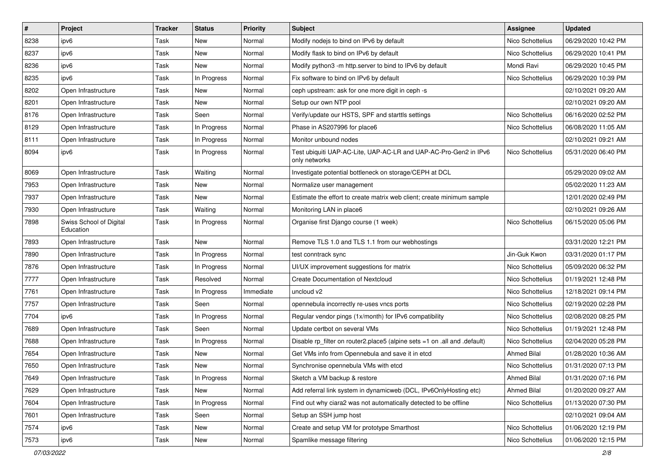| $\vert$ # | Project                              | <b>Tracker</b> | <b>Status</b> | <b>Priority</b> | Subject                                                                           | <b>Assignee</b>    | <b>Updated</b>      |
|-----------|--------------------------------------|----------------|---------------|-----------------|-----------------------------------------------------------------------------------|--------------------|---------------------|
| 8238      | ipv6                                 | Task           | New           | Normal          | Modify nodejs to bind on IPv6 by default                                          | Nico Schottelius   | 06/29/2020 10:42 PM |
| 8237      | ipv6                                 | Task           | New           | Normal          | Modify flask to bind on IPv6 by default                                           | Nico Schottelius   | 06/29/2020 10:41 PM |
| 8236      | ipv6                                 | Task           | New           | Normal          | Modify python3 -m http.server to bind to IPv6 by default                          | Mondi Ravi         | 06/29/2020 10:45 PM |
| 8235      | ipv6                                 | Task           | In Progress   | Normal          | Fix software to bind on IPv6 by default                                           | Nico Schottelius   | 06/29/2020 10:39 PM |
| 8202      | Open Infrastructure                  | Task           | New           | Normal          | ceph upstream: ask for one more digit in ceph -s                                  |                    | 02/10/2021 09:20 AM |
| 8201      | Open Infrastructure                  | Task           | New           | Normal          | Setup our own NTP pool                                                            |                    | 02/10/2021 09:20 AM |
| 8176      | Open Infrastructure                  | Task           | Seen          | Normal          | Verify/update our HSTS, SPF and starttls settings                                 | Nico Schottelius   | 06/16/2020 02:52 PM |
| 8129      | Open Infrastructure                  | Task           | In Progress   | Normal          | Phase in AS207996 for place6                                                      | Nico Schottelius   | 06/08/2020 11:05 AM |
| 8111      | Open Infrastructure                  | Task           | In Progress   | Normal          | Monitor unbound nodes                                                             |                    | 02/10/2021 09:21 AM |
| 8094      | ipv6                                 | Task           | In Progress   | Normal          | Test ubiquiti UAP-AC-Lite, UAP-AC-LR and UAP-AC-Pro-Gen2 in IPv6<br>only networks | Nico Schottelius   | 05/31/2020 06:40 PM |
| 8069      | Open Infrastructure                  | Task           | Waiting       | Normal          | Investigate potential bottleneck on storage/CEPH at DCL                           |                    | 05/29/2020 09:02 AM |
| 7953      | Open Infrastructure                  | Task           | New           | Normal          | Normalize user management                                                         |                    | 05/02/2020 11:23 AM |
| 7937      | Open Infrastructure                  | Task           | New           | Normal          | Estimate the effort to create matrix web client; create minimum sample            |                    | 12/01/2020 02:49 PM |
| 7930      | Open Infrastructure                  | Task           | Waiting       | Normal          | Monitoring LAN in place6                                                          |                    | 02/10/2021 09:26 AM |
| 7898      | Swiss School of Digital<br>Education | Task           | In Progress   | Normal          | Organise first Django course (1 week)                                             | Nico Schottelius   | 06/15/2020 05:06 PM |
| 7893      | Open Infrastructure                  | Task           | <b>New</b>    | Normal          | Remove TLS 1.0 and TLS 1.1 from our webhostings                                   |                    | 03/31/2020 12:21 PM |
| 7890      | Open Infrastructure                  | Task           | In Progress   | Normal          | test conntrack sync                                                               | Jin-Guk Kwon       | 03/31/2020 01:17 PM |
| 7876      | Open Infrastructure                  | Task           | In Progress   | Normal          | UI/UX improvement suggestions for matrix                                          | Nico Schottelius   | 05/09/2020 06:32 PM |
| 7777      | Open Infrastructure                  | Task           | Resolved      | Normal          | <b>Create Documentation of Nextcloud</b>                                          | Nico Schottelius   | 01/19/2021 12:48 PM |
| 7761      | Open Infrastructure                  | Task           | In Progress   | Immediate       | uncloud v2                                                                        | Nico Schottelius   | 12/18/2021 09:14 PM |
| 7757      | Open Infrastructure                  | Task           | Seen          | Normal          | opennebula incorrectly re-uses vncs ports                                         | Nico Schottelius   | 02/19/2020 02:28 PM |
| 7704      | ipv6                                 | Task           | In Progress   | Normal          | Regular vendor pings (1x/month) for IPv6 compatibility                            | Nico Schottelius   | 02/08/2020 08:25 PM |
| 7689      | Open Infrastructure                  | Task           | Seen          | Normal          | Update certbot on several VMs                                                     | Nico Schottelius   | 01/19/2021 12:48 PM |
| 7688      | Open Infrastructure                  | Task           | In Progress   | Normal          | Disable rp_filter on router2.place5 (alpine sets =1 on .all and .default)         | Nico Schottelius   | 02/04/2020 05:28 PM |
| 7654      | Open Infrastructure                  | Task           | New           | Normal          | Get VMs info from Opennebula and save it in etcd                                  | <b>Ahmed Bilal</b> | 01/28/2020 10:36 AM |
| 7650      | Open Infrastructure                  | Task           | New           | Normal          | Synchronise opennebula VMs with etcd                                              | Nico Schottelius   | 01/31/2020 07:13 PM |
| 7649      | Open Infrastructure                  | Task           | In Progress   | Normal          | Sketch a VM backup & restore                                                      | <b>Ahmed Bilal</b> | 01/31/2020 07:16 PM |
| 7629      | Open Infrastructure                  | Task           | New           | Normal          | Add referral link system in dynamicweb (DCL, IPv6OnlyHosting etc)                 | <b>Ahmed Bilal</b> | 01/20/2020 09:27 AM |
| 7604      | Open Infrastructure                  | Task           | In Progress   | Normal          | Find out why ciara2 was not automatically detected to be offline                  | Nico Schottelius   | 01/13/2020 07:30 PM |
| 7601      | Open Infrastructure                  | Task           | Seen          | Normal          | Setup an SSH jump host                                                            |                    | 02/10/2021 09:04 AM |
| 7574      | ipv6                                 | Task           | New           | Normal          | Create and setup VM for prototype Smarthost                                       | Nico Schottelius   | 01/06/2020 12:19 PM |
| 7573      | ipv6                                 | Task           | New           | Normal          | Spamlike message filtering                                                        | Nico Schottelius   | 01/06/2020 12:15 PM |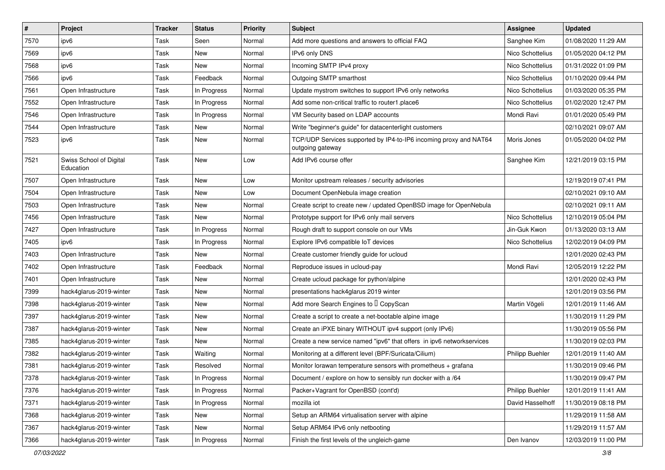| $\vert$ # | Project                              | <b>Tracker</b> | <b>Status</b> | <b>Priority</b> | Subject                                                                               | <b>Assignee</b>        | <b>Updated</b>      |
|-----------|--------------------------------------|----------------|---------------|-----------------|---------------------------------------------------------------------------------------|------------------------|---------------------|
| 7570      | ipv6                                 | Task           | Seen          | Normal          | Add more questions and answers to official FAQ                                        | Sanghee Kim            | 01/08/2020 11:29 AM |
| 7569      | ipv6                                 | Task           | New           | Normal          | IPv6 only DNS                                                                         | Nico Schottelius       | 01/05/2020 04:12 PM |
| 7568      | ipv6                                 | Task           | New           | Normal          | Incoming SMTP IPv4 proxy                                                              | Nico Schottelius       | 01/31/2022 01:09 PM |
| 7566      | ipv6                                 | Task           | Feedback      | Normal          | Outgoing SMTP smarthost                                                               | Nico Schottelius       | 01/10/2020 09:44 PM |
| 7561      | Open Infrastructure                  | Task           | In Progress   | Normal          | Update mystrom switches to support IPv6 only networks                                 | Nico Schottelius       | 01/03/2020 05:35 PM |
| 7552      | Open Infrastructure                  | Task           | In Progress   | Normal          | Add some non-critical traffic to router1.place6                                       | Nico Schottelius       | 01/02/2020 12:47 PM |
| 7546      | Open Infrastructure                  | Task           | In Progress   | Normal          | VM Security based on LDAP accounts                                                    | Mondi Ravi             | 01/01/2020 05:49 PM |
| 7544      | Open Infrastructure                  | Task           | New           | Normal          | Write "beginner's guide" for datacenterlight customers                                |                        | 02/10/2021 09:07 AM |
| 7523      | ipv6                                 | Task           | New           | Normal          | TCP/UDP Services supported by IP4-to-IP6 incoming proxy and NAT64<br>outgoing gateway | Moris Jones            | 01/05/2020 04:02 PM |
| 7521      | Swiss School of Digital<br>Education | Task           | New           | Low             | Add IPv6 course offer                                                                 | Sanghee Kim            | 12/21/2019 03:15 PM |
| 7507      | Open Infrastructure                  | Task           | New           | Low             | Monitor upstream releases / security advisories                                       |                        | 12/19/2019 07:41 PM |
| 7504      | Open Infrastructure                  | Task           | New           | Low             | Document OpenNebula image creation                                                    |                        | 02/10/2021 09:10 AM |
| 7503      | Open Infrastructure                  | Task           | New           | Normal          | Create script to create new / updated OpenBSD image for OpenNebula                    |                        | 02/10/2021 09:11 AM |
| 7456      | Open Infrastructure                  | Task           | New           | Normal          | Prototype support for IPv6 only mail servers                                          | Nico Schottelius       | 12/10/2019 05:04 PM |
| 7427      | Open Infrastructure                  | Task           | In Progress   | Normal          | Rough draft to support console on our VMs                                             | Jin-Guk Kwon           | 01/13/2020 03:13 AM |
| 7405      | ipv6                                 | Task           | In Progress   | Normal          | Explore IPv6 compatible IoT devices                                                   | Nico Schottelius       | 12/02/2019 04:09 PM |
| 7403      | Open Infrastructure                  | Task           | New           | Normal          | Create customer friendly guide for ucloud                                             |                        | 12/01/2020 02:43 PM |
| 7402      | Open Infrastructure                  | Task           | Feedback      | Normal          | Reproduce issues in ucloud-pay                                                        | Mondi Ravi             | 12/05/2019 12:22 PM |
| 7401      | Open Infrastructure                  | Task           | New           | Normal          | Create ucloud package for python/alpine                                               |                        | 12/01/2020 02:43 PM |
| 7399      | hack4glarus-2019-winter              | Task           | New           | Normal          | presentations hack4glarus 2019 winter                                                 |                        | 12/01/2019 03:56 PM |
| 7398      | hack4glarus-2019-winter              | Task           | <b>New</b>    | Normal          | Add more Search Engines to I CopyScan                                                 | Martin Vögeli          | 12/01/2019 11:46 AM |
| 7397      | hack4glarus-2019-winter              | Task           | New           | Normal          | Create a script to create a net-bootable alpine image                                 |                        | 11/30/2019 11:29 PM |
| 7387      | hack4glarus-2019-winter              | Task           | New           | Normal          | Create an iPXE binary WITHOUT ipv4 support (only IPv6)                                |                        | 11/30/2019 05:56 PM |
| 7385      | hack4glarus-2019-winter              | Task           | New           | Normal          | Create a new service named "ipv6" that offers in ipv6 networkservices                 |                        | 11/30/2019 02:03 PM |
| 7382      | hack4glarus-2019-winter              | Task           | Waiting       | Normal          | Monitoring at a different level (BPF/Suricata/Cilium)                                 | <b>Philipp Buehler</b> | 12/01/2019 11:40 AM |
| 7381      | hack4glarus-2019-winter              | Task           | Resolved      | Normal          | Monitor lorawan temperature sensors with prometheus $+$ grafana                       |                        | 11/30/2019 09:46 PM |
| 7378      | hack4glarus-2019-winter              | Task           | In Progress   | Normal          | Document / explore on how to sensibly run docker with a /64                           |                        | 11/30/2019 09:47 PM |
| 7376      | hack4glarus-2019-winter              | Task           | In Progress   | Normal          | Packer+Vagrant for OpenBSD (cont'd)                                                   | <b>Philipp Buehler</b> | 12/01/2019 11:41 AM |
| 7371      | hack4glarus-2019-winter              | Task           | In Progress   | Normal          | mozilla iot                                                                           | David Hasselhoff       | 11/30/2019 08:18 PM |
| 7368      | hack4glarus-2019-winter              | Task           | New           | Normal          | Setup an ARM64 virtualisation server with alpine                                      |                        | 11/29/2019 11:58 AM |
| 7367      | hack4glarus-2019-winter              | Task           | New           | Normal          | Setup ARM64 IPv6 only netbooting                                                      |                        | 11/29/2019 11:57 AM |
| 7366      | hack4glarus-2019-winter              | Task           | In Progress   | Normal          | Finish the first levels of the ungleich-game                                          | Den Ivanov             | 12/03/2019 11:00 PM |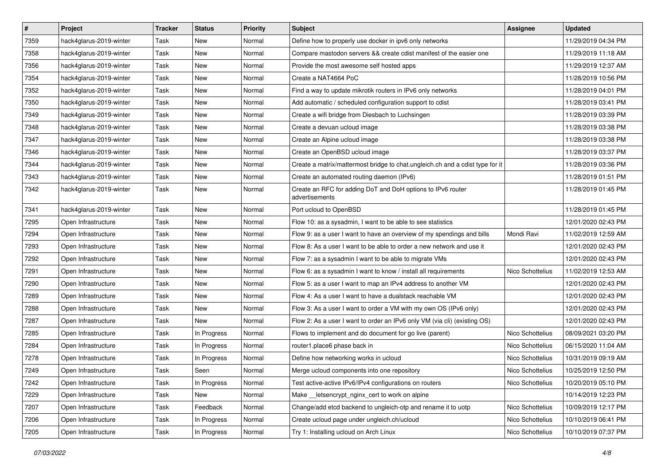| $\vert$ # | Project                 | <b>Tracker</b> | <b>Status</b> | <b>Priority</b> | Subject                                                                       | <b>Assignee</b>  | <b>Updated</b>      |
|-----------|-------------------------|----------------|---------------|-----------------|-------------------------------------------------------------------------------|------------------|---------------------|
| 7359      | hack4glarus-2019-winter | Task           | New           | Normal          | Define how to properly use docker in ipv6 only networks                       |                  | 11/29/2019 04:34 PM |
| 7358      | hack4glarus-2019-winter | Task           | <b>New</b>    | Normal          | Compare mastodon servers && create cdist manifest of the easier one           |                  | 11/29/2019 11:18 AM |
| 7356      | hack4glarus-2019-winter | Task           | New           | Normal          | Provide the most awesome self hosted apps                                     |                  | 11/29/2019 12:37 AM |
| 7354      | hack4glarus-2019-winter | Task           | New           | Normal          | Create a NAT4664 PoC                                                          |                  | 11/28/2019 10:56 PM |
| 7352      | hack4glarus-2019-winter | Task           | New           | Normal          | Find a way to update mikrotik routers in IPv6 only networks                   |                  | 11/28/2019 04:01 PM |
| 7350      | hack4glarus-2019-winter | Task           | New           | Normal          | Add automatic / scheduled configuration support to cdist                      |                  | 11/28/2019 03:41 PM |
| 7349      | hack4glarus-2019-winter | Task           | New           | Normal          | Create a wifi bridge from Diesbach to Luchsingen                              |                  | 11/28/2019 03:39 PM |
| 7348      | hack4glarus-2019-winter | Task           | New           | Normal          | Create a devuan ucloud image                                                  |                  | 11/28/2019 03:38 PM |
| 7347      | hack4glarus-2019-winter | Task           | New           | Normal          | Create an Alpine ucloud image                                                 |                  | 11/28/2019 03:38 PM |
| 7346      | hack4glarus-2019-winter | Task           | New           | Normal          | Create an OpenBSD ucloud image                                                |                  | 11/28/2019 03:37 PM |
| 7344      | hack4glarus-2019-winter | Task           | New           | Normal          | Create a matrix/mattermost bridge to chat.ungleich.ch and a cdist type for it |                  | 11/28/2019 03:36 PM |
| 7343      | hack4glarus-2019-winter | Task           | New           | Normal          | Create an automated routing daemon (IPv6)                                     |                  | 11/28/2019 01:51 PM |
| 7342      | hack4glarus-2019-winter | Task           | New           | Normal          | Create an RFC for adding DoT and DoH options to IPv6 router<br>advertisements |                  | 11/28/2019 01:45 PM |
| 7341      | hack4glarus-2019-winter | Task           | New           | Normal          | Port ucloud to OpenBSD                                                        |                  | 11/28/2019 01:45 PM |
| 7295      | Open Infrastructure     | Task           | New           | Normal          | Flow 10: as a sysadmin, I want to be able to see statistics                   |                  | 12/01/2020 02:43 PM |
| 7294      | Open Infrastructure     | Task           | New           | Normal          | Flow 9: as a user I want to have an overview of my spendings and bills        | Mondi Ravi       | 11/02/2019 12:59 AM |
| 7293      | Open Infrastructure     | Task           | New           | Normal          | Flow 8: As a user I want to be able to order a new network and use it         |                  | 12/01/2020 02:43 PM |
| 7292      | Open Infrastructure     | Task           | New           | Normal          | Flow 7: as a sysadmin I want to be able to migrate VMs                        |                  | 12/01/2020 02:43 PM |
| 7291      | Open Infrastructure     | Task           | New           | Normal          | Flow 6: as a sysadmin I want to know / install all requirements               | Nico Schottelius | 11/02/2019 12:53 AM |
| 7290      | Open Infrastructure     | Task           | New           | Normal          | Flow 5: as a user I want to map an IPv4 address to another VM                 |                  | 12/01/2020 02:43 PM |
| 7289      | Open Infrastructure     | Task           | New           | Normal          | Flow 4: As a user I want to have a dualstack reachable VM                     |                  | 12/01/2020 02:43 PM |
| 7288      | Open Infrastructure     | Task           | New           | Normal          | Flow 3: As a user I want to order a VM with my own OS (IPv6 only)             |                  | 12/01/2020 02:43 PM |
| 7287      | Open Infrastructure     | Task           | New           | Normal          | Flow 2: As a user I want to order an IPv6 only VM (via cli) (existing OS)     |                  | 12/01/2020 02:43 PM |
| 7285      | Open Infrastructure     | Task           | In Progress   | Normal          | Flows to implement and do document for go live (parent)                       | Nico Schottelius | 08/09/2021 03:20 PM |
| 7284      | Open Infrastructure     | Task           | In Progress   | Normal          | router1.place6 phase back in                                                  | Nico Schottelius | 06/15/2020 11:04 AM |
| 7278      | Open Infrastructure     | Task           | In Progress   | Normal          | Define how networking works in ucloud                                         | Nico Schottelius | 10/31/2019 09:19 AM |
| 7249      | Open Infrastructure     | Task           | Seen          | Normal          | Merge ucloud components into one repository                                   | Nico Schottelius | 10/25/2019 12:50 PM |
| 7242      | Open Infrastructure     | Task           | In Progress   | Normal          | Test active-active IPv6/IPv4 configurations on routers                        | Nico Schottelius | 10/20/2019 05:10 PM |
| 7229      | Open Infrastructure     | Task           | New           | Normal          | Make letsencrypt nginx cert to work on alpine                                 |                  | 10/14/2019 12:23 PM |
| 7207      | Open Infrastructure     | Task           | Feedback      | Normal          | Change/add etcd backend to ungleich-otp and rename it to uotp                 | Nico Schottelius | 10/09/2019 12:17 PM |
| 7206      | Open Infrastructure     | Task           | In Progress   | Normal          | Create ucloud page under ungleich.ch/ucloud                                   | Nico Schottelius | 10/10/2019 06:41 PM |
| 7205      | Open Infrastructure     | Task           | In Progress   | Normal          | Try 1: Installing ucloud on Arch Linux                                        | Nico Schottelius | 10/10/2019 07:37 PM |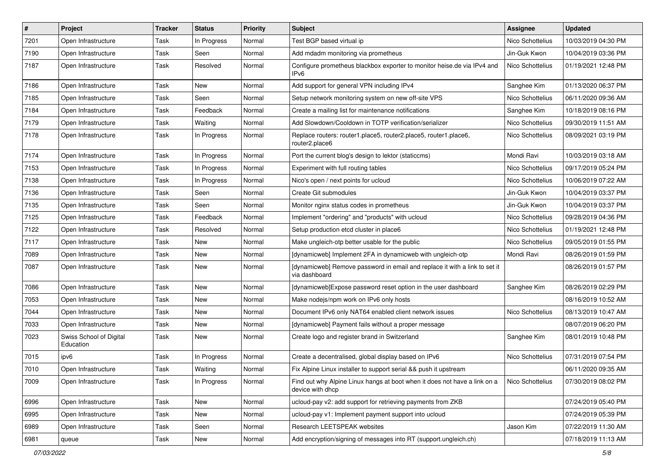| $\vert$ # | Project                              | <b>Tracker</b> | <b>Status</b> | <b>Priority</b> | Subject                                                                                       | <b>Assignee</b>  | <b>Updated</b>      |
|-----------|--------------------------------------|----------------|---------------|-----------------|-----------------------------------------------------------------------------------------------|------------------|---------------------|
| 7201      | Open Infrastructure                  | Task           | In Progress   | Normal          | Test BGP based virtual ip                                                                     | Nico Schottelius | 10/03/2019 04:30 PM |
| 7190      | Open Infrastructure                  | Task           | Seen          | Normal          | Add mdadm monitoring via prometheus                                                           | Jin-Guk Kwon     | 10/04/2019 03:36 PM |
| 7187      | Open Infrastructure                  | Task           | Resolved      | Normal          | Configure prometheus blackbox exporter to monitor heise.de via IPv4 and<br>IPv6               | Nico Schottelius | 01/19/2021 12:48 PM |
| 7186      | Open Infrastructure                  | Task           | New           | Normal          | Add support for general VPN including IPv4                                                    | Sanghee Kim      | 01/13/2020 06:37 PM |
| 7185      | Open Infrastructure                  | Task           | Seen          | Normal          | Setup network monitoring system on new off-site VPS                                           | Nico Schottelius | 06/11/2020 09:36 AM |
| 7184      | Open Infrastructure                  | Task           | Feedback      | Normal          | Create a mailing list for maintenance notifications                                           | Sanghee Kim      | 10/18/2019 08:16 PM |
| 7179      | Open Infrastructure                  | Task           | Waiting       | Normal          | Add Slowdown/Cooldown in TOTP verification/serializer                                         | Nico Schottelius | 09/30/2019 11:51 AM |
| 7178      | Open Infrastructure                  | Task           | In Progress   | Normal          | Replace routers: router1.place5, router2.place5, router1.place6,<br>router2.place6            | Nico Schottelius | 08/09/2021 03:19 PM |
| 7174      | Open Infrastructure                  | Task           | In Progress   | Normal          | Port the current blog's design to lektor (staticcms)                                          | Mondi Ravi       | 10/03/2019 03:18 AM |
| 7153      | Open Infrastructure                  | Task           | In Progress   | Normal          | Experiment with full routing tables                                                           | Nico Schottelius | 09/17/2019 05:24 PM |
| 7138      | Open Infrastructure                  | Task           | In Progress   | Normal          | Nico's open / next points for ucloud                                                          | Nico Schottelius | 10/06/2019 07:22 AM |
| 7136      | Open Infrastructure                  | Task           | Seen          | Normal          | Create Git submodules                                                                         | Jin-Guk Kwon     | 10/04/2019 03:37 PM |
| 7135      | Open Infrastructure                  | Task           | Seen          | Normal          | Monitor nginx status codes in prometheus                                                      | Jin-Guk Kwon     | 10/04/2019 03:37 PM |
| 7125      | Open Infrastructure                  | Task           | Feedback      | Normal          | Implement "ordering" and "products" with ucloud                                               | Nico Schottelius | 09/28/2019 04:36 PM |
| 7122      | Open Infrastructure                  | Task           | Resolved      | Normal          | Setup production etcd cluster in place6                                                       | Nico Schottelius | 01/19/2021 12:48 PM |
| 7117      | Open Infrastructure                  | Task           | New           | Normal          | Make ungleich-otp better usable for the public                                                | Nico Schottelius | 09/05/2019 01:55 PM |
| 7089      | Open Infrastructure                  | Task           | New           | Normal          | [dynamicweb] Implement 2FA in dynamicweb with ungleich-otp                                    | Mondi Ravi       | 08/26/2019 01:59 PM |
| 7087      | Open Infrastructure                  | Task           | New           | Normal          | [dynamicweb] Remove password in email and replace it with a link to set it<br>via dashboard   |                  | 08/26/2019 01:57 PM |
| 7086      | Open Infrastructure                  | Task           | New           | Normal          | [dynamicweb]Expose password reset option in the user dashboard                                | Sanghee Kim      | 08/26/2019 02:29 PM |
| 7053      | Open Infrastructure                  | Task           | New           | Normal          | Make nodejs/npm work on IPv6 only hosts                                                       |                  | 08/16/2019 10:52 AM |
| 7044      | Open Infrastructure                  | Task           | New           | Normal          | Document IPv6 only NAT64 enabled client network issues                                        | Nico Schottelius | 08/13/2019 10:47 AM |
| 7033      | Open Infrastructure                  | Task           | New           | Normal          | [dynamicweb] Payment fails without a proper message                                           |                  | 08/07/2019 06:20 PM |
| 7023      | Swiss School of Digital<br>Education | Task           | New           | Normal          | Create logo and register brand in Switzerland                                                 | Sanghee Kim      | 08/01/2019 10:48 PM |
| 7015      | ipv6                                 | Task           | In Progress   | Normal          | Create a decentralised, global display based on IPv6                                          | Nico Schottelius | 07/31/2019 07:54 PM |
| 7010      | Open Infrastructure                  | Task           | Waiting       | Normal          | Fix Alpine Linux installer to support serial && push it upstream                              |                  | 06/11/2020 09:35 AM |
| 7009      | Open Infrastructure                  | Task           | In Progress   | Normal          | Find out why Alpine Linux hangs at boot when it does not have a link on a<br>device with dhcp | Nico Schottelius | 07/30/2019 08:02 PM |
| 6996      | Open Infrastructure                  | Task           | New           | Normal          | ucloud-pay v2: add support for retrieving payments from ZKB                                   |                  | 07/24/2019 05:40 PM |
| 6995      | Open Infrastructure                  | Task           | New           | Normal          | ucloud-pay v1: Implement payment support into ucloud                                          |                  | 07/24/2019 05:39 PM |
| 6989      | Open Infrastructure                  | Task           | Seen          | Normal          | Research LEETSPEAK websites                                                                   | Jason Kim        | 07/22/2019 11:30 AM |
| 6981      | queue                                | Task           | New           | Normal          | Add encryption/signing of messages into RT (support.ungleich.ch)                              |                  | 07/18/2019 11:13 AM |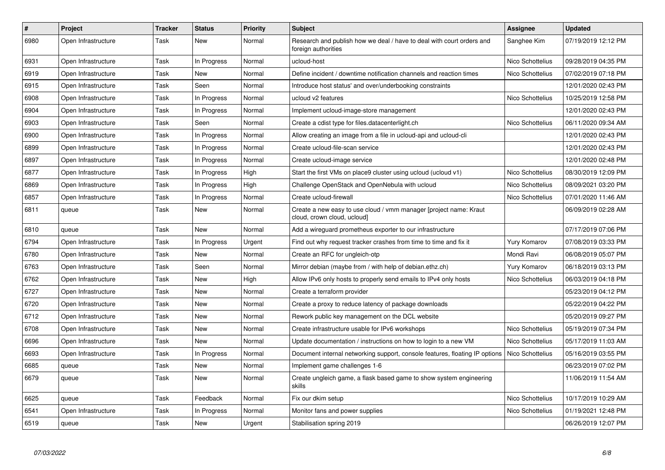| $\#$ | Project             | <b>Tracker</b> | <b>Status</b> | Priority | <b>Subject</b>                                                                                    | <b>Assignee</b>  | <b>Updated</b>      |
|------|---------------------|----------------|---------------|----------|---------------------------------------------------------------------------------------------------|------------------|---------------------|
| 6980 | Open Infrastructure | Task           | <b>New</b>    | Normal   | Research and publish how we deal / have to deal with court orders and<br>foreign authorities      | Sanghee Kim      | 07/19/2019 12:12 PM |
| 6931 | Open Infrastructure | Task           | In Progress   | Normal   | ucloud-host                                                                                       | Nico Schottelius | 09/28/2019 04:35 PM |
| 6919 | Open Infrastructure | Task           | <b>New</b>    | Normal   | Define incident / downtime notification channels and reaction times                               | Nico Schottelius | 07/02/2019 07:18 PM |
| 6915 | Open Infrastructure | Task           | Seen          | Normal   | Introduce host status' and over/underbooking constraints                                          |                  | 12/01/2020 02:43 PM |
| 6908 | Open Infrastructure | Task           | In Progress   | Normal   | ucloud v2 features                                                                                | Nico Schottelius | 10/25/2019 12:58 PM |
| 6904 | Open Infrastructure | Task           | In Progress   | Normal   | Implement ucloud-image-store management                                                           |                  | 12/01/2020 02:43 PM |
| 6903 | Open Infrastructure | Task           | Seen          | Normal   | Create a cdist type for files.datacenterlight.ch                                                  | Nico Schottelius | 06/11/2020 09:34 AM |
| 6900 | Open Infrastructure | Task           | In Progress   | Normal   | Allow creating an image from a file in ucloud-api and ucloud-cli                                  |                  | 12/01/2020 02:43 PM |
| 6899 | Open Infrastructure | Task           | In Progress   | Normal   | Create ucloud-file-scan service                                                                   |                  | 12/01/2020 02:43 PM |
| 6897 | Open Infrastructure | Task           | In Progress   | Normal   | Create ucloud-image service                                                                       |                  | 12/01/2020 02:48 PM |
| 6877 | Open Infrastructure | Task           | In Progress   | High     | Start the first VMs on place9 cluster using ucloud (ucloud v1)                                    | Nico Schottelius | 08/30/2019 12:09 PM |
| 6869 | Open Infrastructure | Task           | In Progress   | High     | Challenge OpenStack and OpenNebula with ucloud                                                    | Nico Schottelius | 08/09/2021 03:20 PM |
| 6857 | Open Infrastructure | Task           | In Progress   | Normal   | Create ucloud-firewall                                                                            | Nico Schottelius | 07/01/2020 11:46 AM |
| 6811 | queue               | Task           | New           | Normal   | Create a new easy to use cloud / vmm manager [project name: Kraut]<br>cloud, crown cloud, ucloud] |                  | 06/09/2019 02:28 AM |
| 6810 | queue               | Task           | New           | Normal   | Add a wireguard prometheus exporter to our infrastructure                                         |                  | 07/17/2019 07:06 PM |
| 6794 | Open Infrastructure | Task           | In Progress   | Urgent   | Find out why request tracker crashes from time to time and fix it                                 | Yury Komarov     | 07/08/2019 03:33 PM |
| 6780 | Open Infrastructure | Task           | New           | Normal   | Create an RFC for ungleich-otp                                                                    | Mondi Ravi       | 06/08/2019 05:07 PM |
| 6763 | Open Infrastructure | Task           | Seen          | Normal   | Mirror debian (maybe from / with help of debian.ethz.ch)                                          | Yury Komarov     | 06/18/2019 03:13 PM |
| 6762 | Open Infrastructure | Task           | New           | High     | Allow IPv6 only hosts to properly send emails to IPv4 only hosts                                  | Nico Schottelius | 06/03/2019 04:18 PM |
| 6727 | Open Infrastructure | Task           | New           | Normal   | Create a terraform provider                                                                       |                  | 05/23/2019 04:12 PM |
| 6720 | Open Infrastructure | Task           | New           | Normal   | Create a proxy to reduce latency of package downloads                                             |                  | 05/22/2019 04:22 PM |
| 6712 | Open Infrastructure | Task           | New           | Normal   | Rework public key management on the DCL website                                                   |                  | 05/20/2019 09:27 PM |
| 6708 | Open Infrastructure | Task           | New           | Normal   | Create infrastructure usable for IPv6 workshops                                                   | Nico Schottelius | 05/19/2019 07:34 PM |
| 6696 | Open Infrastructure | Task           | <b>New</b>    | Normal   | Update documentation / instructions on how to login to a new VM                                   | Nico Schottelius | 05/17/2019 11:03 AM |
| 6693 | Open Infrastructure | Task           | In Progress   | Normal   | Document internal networking support, console features, floating IP options                       | Nico Schottelius | 05/16/2019 03:55 PM |
| 6685 | queue               | Task           | <b>New</b>    | Normal   | Implement game challenges 1-6                                                                     |                  | 06/23/2019 07:02 PM |
| 6679 | queue               | Task           | <b>New</b>    | Normal   | Create ungleich game, a flask based game to show system engineering<br>skills                     |                  | 11/06/2019 11:54 AM |
| 6625 | queue               | Task           | Feedback      | Normal   | Fix our dkim setup                                                                                | Nico Schottelius | 10/17/2019 10:29 AM |
| 6541 | Open Infrastructure | Task           | In Progress   | Normal   | Monitor fans and power supplies                                                                   | Nico Schottelius | 01/19/2021 12:48 PM |
| 6519 | queue               | Task           | <b>New</b>    | Urgent   | Stabilisation spring 2019                                                                         |                  | 06/26/2019 12:07 PM |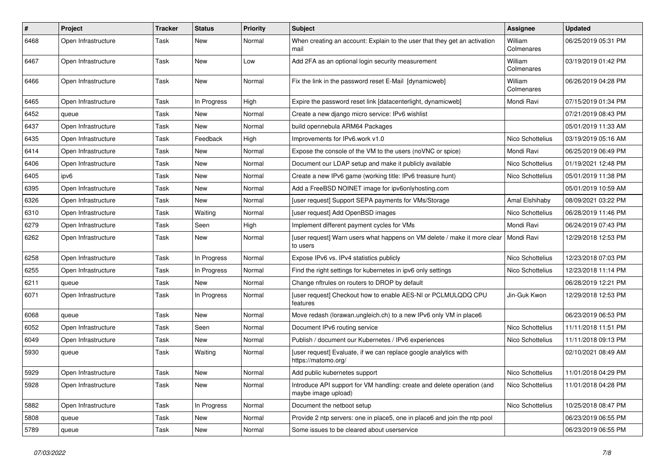| #    | Project             | Tracker | <b>Status</b> | <b>Priority</b> | <b>Subject</b>                                                                                 | <b>Assignee</b>       | <b>Updated</b>      |
|------|---------------------|---------|---------------|-----------------|------------------------------------------------------------------------------------------------|-----------------------|---------------------|
| 6468 | Open Infrastructure | Task    | New           | Normal          | When creating an account: Explain to the user that they get an activation<br>mail              | William<br>Colmenares | 06/25/2019 05:31 PM |
| 6467 | Open Infrastructure | Task    | New           | Low             | Add 2FA as an optional login security measurement                                              | William<br>Colmenares | 03/19/2019 01:42 PM |
| 6466 | Open Infrastructure | Task    | <b>New</b>    | Normal          | Fix the link in the password reset E-Mail [dynamicweb]                                         | William<br>Colmenares | 06/26/2019 04:28 PM |
| 6465 | Open Infrastructure | Task    | In Progress   | High            | Expire the password reset link [datacenterlight, dynamicweb]                                   | Mondi Ravi            | 07/15/2019 01:34 PM |
| 6452 | queue               | Task    | New           | Normal          | Create a new django micro service: IPv6 wishlist                                               |                       | 07/21/2019 08:43 PM |
| 6437 | Open Infrastructure | Task    | <b>New</b>    | Normal          | build opennebula ARM64 Packages                                                                |                       | 05/01/2019 11:33 AM |
| 6435 | Open Infrastructure | Task    | Feedback      | High            | Improvements for IPv6.work v1.0                                                                | Nico Schottelius      | 03/19/2019 05:16 AM |
| 6414 | Open Infrastructure | Task    | New           | Normal          | Expose the console of the VM to the users (noVNC or spice)                                     | Mondi Ravi            | 06/25/2019 06:49 PM |
| 6406 | Open Infrastructure | Task    | <b>New</b>    | Normal          | Document our LDAP setup and make it publicly available                                         | Nico Schottelius      | 01/19/2021 12:48 PM |
| 6405 | ipv6                | Task    | New           | Normal          | Create a new IPv6 game (working title: IPv6 treasure hunt)                                     | Nico Schottelius      | 05/01/2019 11:38 PM |
| 6395 | Open Infrastructure | Task    | <b>New</b>    | Normal          | Add a FreeBSD NOINET image for ipv6onlyhosting.com                                             |                       | 05/01/2019 10:59 AM |
| 6326 | Open Infrastructure | Task    | <b>New</b>    | Normal          | [user request] Support SEPA payments for VMs/Storage                                           | Amal Elshihaby        | 08/09/2021 03:22 PM |
| 6310 | Open Infrastructure | Task    | Waiting       | Normal          | [user request] Add OpenBSD images                                                              | Nico Schottelius      | 06/28/2019 11:46 PM |
| 6279 | Open Infrastructure | Task    | Seen          | High            | Implement different payment cycles for VMs                                                     | Mondi Ravi            | 06/24/2019 07:43 PM |
| 6262 | Open Infrastructure | Task    | New           | Normal          | [user request] Warn users what happens on VM delete / make it more clear<br>to users           | Mondi Ravi            | 12/29/2018 12:53 PM |
| 6258 | Open Infrastructure | Task    | In Progress   | Normal          | Expose IPv6 vs. IPv4 statistics publicly                                                       | Nico Schottelius      | 12/23/2018 07:03 PM |
| 6255 | Open Infrastructure | Task    | In Progress   | Normal          | Find the right settings for kubernetes in ipv6 only settings                                   | Nico Schottelius      | 12/23/2018 11:14 PM |
| 6211 | queue               | Task    | New           | Normal          | Change nftrules on routers to DROP by default                                                  |                       | 06/28/2019 12:21 PM |
| 6071 | Open Infrastructure | Task    | In Progress   | Normal          | [user request] Checkout how to enable AES-NI or PCLMULQDQ CPU<br>features                      | Jin-Guk Kwon          | 12/29/2018 12:53 PM |
| 6068 | queue               | Task    | <b>New</b>    | Normal          | Move redash (lorawan.ungleich.ch) to a new IPv6 only VM in place6                              |                       | 06/23/2019 06:53 PM |
| 6052 | Open Infrastructure | Task    | Seen          | Normal          | Document IPv6 routing service                                                                  | Nico Schottelius      | 11/11/2018 11:51 PM |
| 6049 | Open Infrastructure | Task    | New           | Normal          | Publish / document our Kubernetes / IPv6 experiences                                           | Nico Schottelius      | 11/11/2018 09:13 PM |
| 5930 | queue               | Task    | Waiting       | Normal          | [user request] Evaluate, if we can replace google analytics with<br>https://matomo.org/        |                       | 02/10/2021 08:49 AM |
| 5929 | Open Infrastructure | Task    | New           | Normal          | Add public kubernetes support                                                                  | Nico Schottelius      | 11/01/2018 04:29 PM |
| 5928 | Open Infrastructure | Task    | New           | Normal          | Introduce API support for VM handling: create and delete operation (and<br>maybe image upload) | Nico Schottelius      | 11/01/2018 04:28 PM |
| 5882 | Open Infrastructure | Task    | In Progress   | Normal          | Document the netboot setup                                                                     | Nico Schottelius      | 10/25/2018 08:47 PM |
| 5808 | queue               | Task    | New           | Normal          | Provide 2 ntp servers: one in place5, one in place6 and join the ntp pool                      |                       | 06/23/2019 06:55 PM |
| 5789 | queue               | Task    | New           | Normal          | Some issues to be cleared about userservice                                                    |                       | 06/23/2019 06:55 PM |